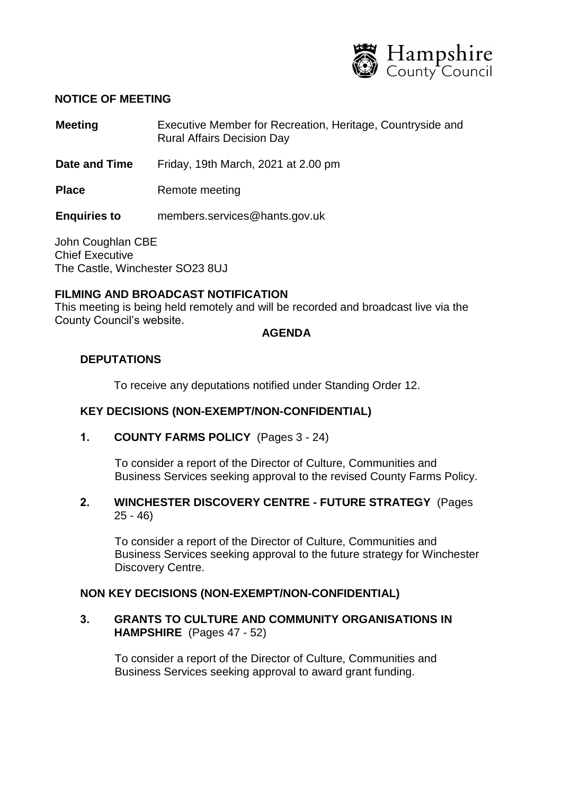

### **NOTICE OF MEETING**

- **Meeting** Executive Member for Recreation, Heritage, Countryside and Rural Affairs Decision Day
- **Date and Time** Friday, 19th March, 2021 at 2.00 pm
- **Place** Remote meeting

**Enquiries to** members.services@hants.gov.uk

John Coughlan CBE Chief Executive The Castle, Winchester SO23 8UJ

# **FILMING AND BROADCAST NOTIFICATION**

This meeting is being held remotely and will be recorded and broadcast live via the County Council's website.

### **AGENDA**

## **DEPUTATIONS**

To receive any deputations notified under Standing Order 12.

### **KEY DECISIONS (NON-EXEMPT/NON-CONFIDENTIAL)**

**1. COUNTY FARMS POLICY** (Pages 3 - 24)

To consider a report of the Director of Culture, Communities and Business Services seeking approval to the revised County Farms Policy.

# **2. WINCHESTER DISCOVERY CENTRE - FUTURE STRATEGY** (Pages 25 - 46)

To consider a report of the Director of Culture, Communities and Business Services seeking approval to the future strategy for Winchester Discovery Centre.

## **NON KEY DECISIONS (NON-EXEMPT/NON-CONFIDENTIAL)**

**3. GRANTS TO CULTURE AND COMMUNITY ORGANISATIONS IN HAMPSHIRE** (Pages 47 - 52)

To consider a report of the Director of Culture, Communities and Business Services seeking approval to award grant funding.